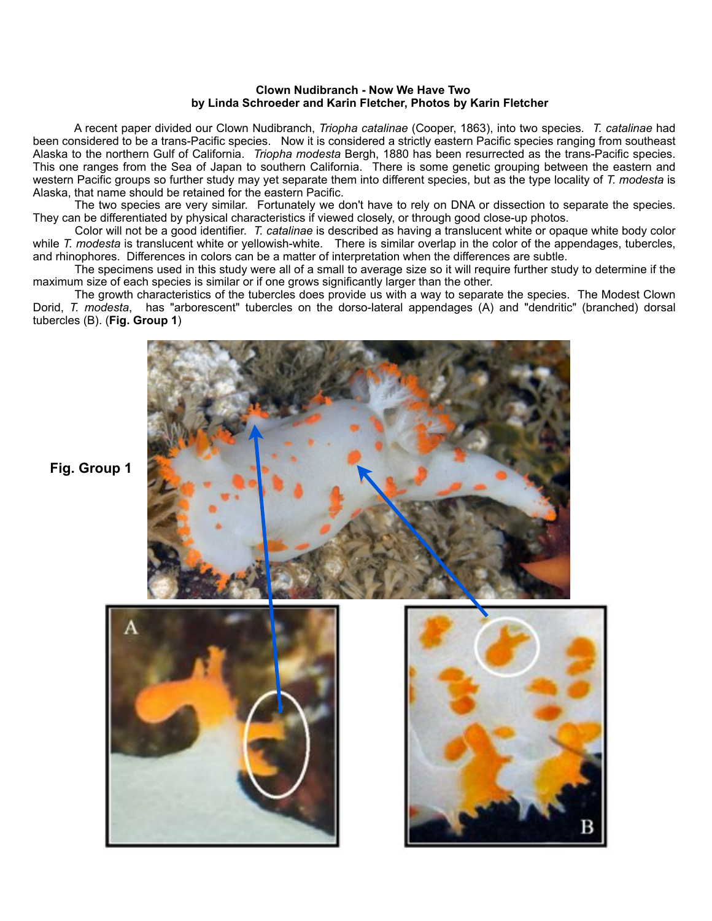## **Clown Nudibranch - Now We Have Two by Linda Schroeder and Karin Fletcher, Photos by Karin Fletcher**

 A recent paper divided our Clown Nudibranch, *Triopha catalinae* (Cooper, 1863), into two species. *T. catalinae* had been considered to be a trans-Pacific species. Now it is considered a strictly eastern Pacific species ranging from southeast Alaska to the northern Gulf of California. *Triopha modesta* Bergh, 1880 has been resurrected as the trans-Pacific species. This one ranges from the Sea of Japan to southern California. There is some genetic grouping between the eastern and western Pacific groups so further study may yet separate them into different species, but as the type locality of *T. modesta* is Alaska, that name should be retained for the eastern Pacific.

 The two species are very similar. Fortunately we don't have to rely on DNA or dissection to separate the species. They can be differentiated by physical characteristics if viewed closely, or through good close-up photos.

 Color will not be a good identifier. *T. catalinae* is described as having a translucent white or opaque white body color while *T. modesta* is translucent white or yellowish-white. There is similar overlap in the color of the appendages, tubercles, and rhinophores. Differences in colors can be a matter of interpretation when the differences are subtle.

 The specimens used in this study were all of a small to average size so it will require further study to determine if the maximum size of each species is similar or if one grows significantly larger than the other.

 The growth characteristics of the tubercles does provide us with a way to separate the species. The Modest Clown Dorid, *T. modesta*, has "arborescent" tubercles on the dorso-lateral appendages (A) and "dendritic" (branched) dorsal tubercles (B). (**Fig. Group 1**)



**Fig. Group 1**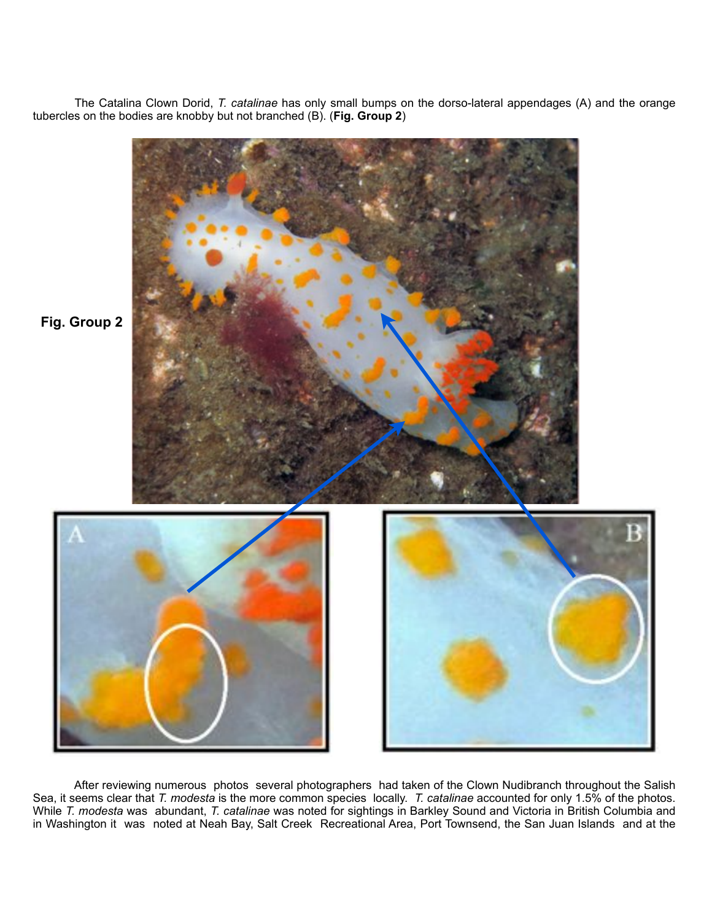The Catalina Clown Dorid, *T. catalinae* has only small bumps on the dorso-lateral appendages (A) and the orange tubercles on the bodies are knobby but not branched (B). (**Fig. Group 2**)



 After reviewing numerous photos several photographers had taken of the Clown Nudibranch throughout the Salish Sea, it seems clear that *T. modesta* is the more common species locally. *T. catalinae* accounted for only 1.5% of the photos. While *T. modesta* was abundant, *T. catalinae* was noted for sightings in Barkley Sound and Victoria in British Columbia and in Washington it was noted at Neah Bay, Salt Creek Recreational Area, Port Townsend, the San Juan Islands and at the